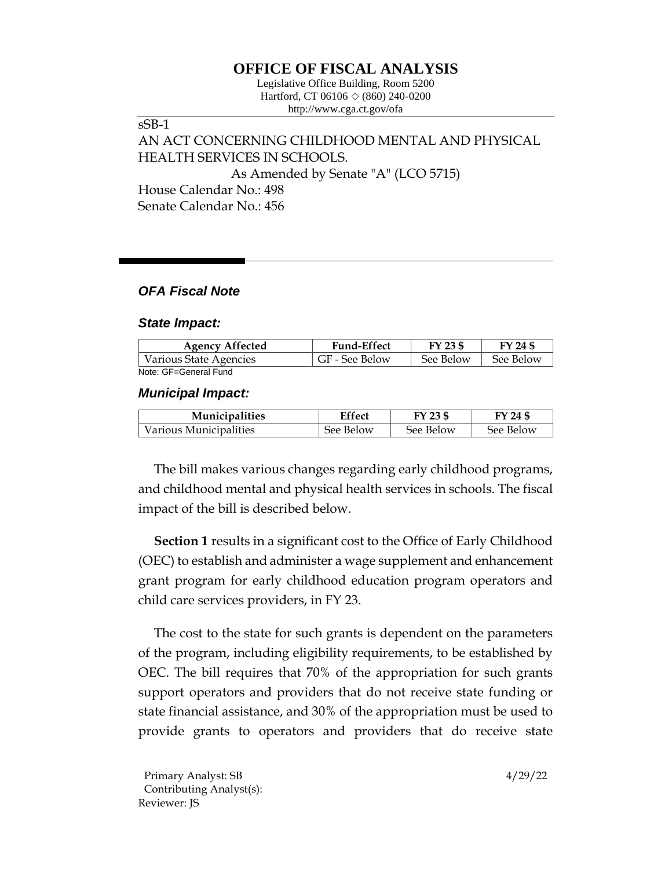# **OFFICE OF FISCAL ANALYSIS**

Legislative Office Building, Room 5200 Hartford, CT 06106  $\Diamond$  (860) 240-0200 http://www.cga.ct.gov/ofa

sSB-1 AN ACT CONCERNING CHILDHOOD MENTAL AND PHYSICAL HEALTH SERVICES IN SCHOOLS. As Amended by Senate "A" (LCO 5715) House Calendar No.: 498 Senate Calendar No.: 456

## *OFA Fiscal Note*

### *State Impact:*

| <b>Agency Affected</b> | <b>Fund-Effect</b> | FY 23 \$  | FY 24 \$  |
|------------------------|--------------------|-----------|-----------|
| Various State Agencies | GF - See Below     | See Below | See Below |
| Note: GF=General Fund  |                    |           |           |

### *Municipal Impact:*

| <b>Municipalities</b>  | Effect    | FY 23 \$  | FY 24 \$  |
|------------------------|-----------|-----------|-----------|
| Various Municipalities | See Below | See Below | See Below |

The bill makes various changes regarding early childhood programs, and childhood mental and physical health services in schools. The fiscal impact of the bill is described below.

**Section 1** results in a significant cost to the Office of Early Childhood (OEC) to establish and administer a wage supplement and enhancement grant program for early childhood education program operators and child care services providers, in FY 23.

The cost to the state for such grants is dependent on the parameters of the program, including eligibility requirements, to be established by OEC. The bill requires that 70% of the appropriation for such grants support operators and providers that do not receive state funding or state financial assistance, and 30% of the appropriation must be used to provide grants to operators and providers that do receive state

Primary Analyst: SB 4/29/22 Contributing Analyst(s): Reviewer: JS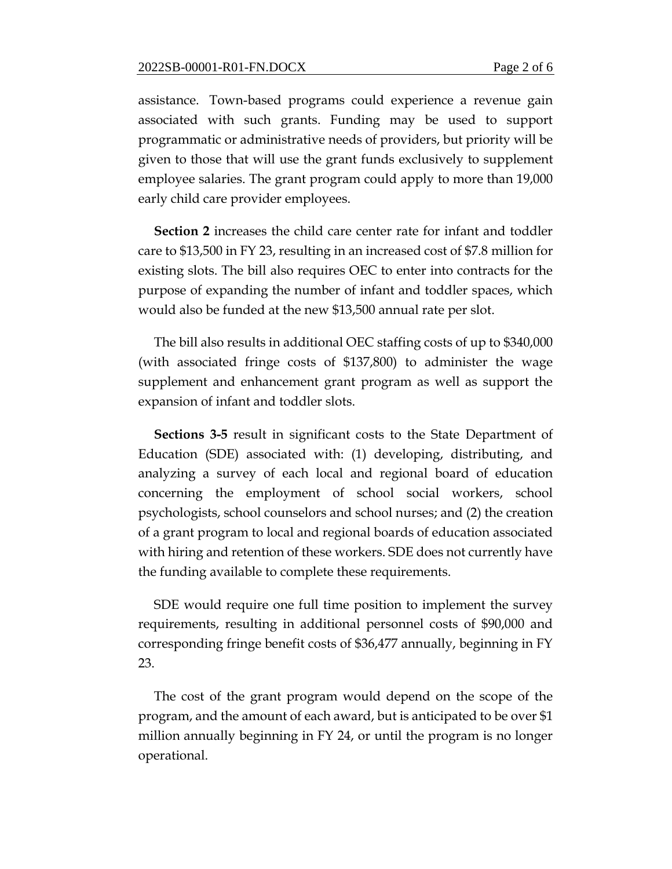assistance. Town-based programs could experience a revenue gain associated with such grants. Funding may be used to support programmatic or administrative needs of providers, but priority will be given to those that will use the grant funds exclusively to supplement employee salaries. The grant program could apply to more than 19,000 early child care provider employees.

**Section 2** increases the child care center rate for infant and toddler care to \$13,500 in FY 23, resulting in an increased cost of \$7.8 million for existing slots. The bill also requires OEC to enter into contracts for the purpose of expanding the number of infant and toddler spaces, which would also be funded at the new \$13,500 annual rate per slot.

The bill also results in additional OEC staffing costs of up to \$340,000 (with associated fringe costs of \$137,800) to administer the wage supplement and enhancement grant program as well as support the expansion of infant and toddler slots.

**Sections 3-5** result in significant costs to the State Department of Education (SDE) associated with: (1) developing, distributing, and analyzing a survey of each local and regional board of education concerning the employment of school social workers, school psychologists, school counselors and school nurses; and (2) the creation of a grant program to local and regional boards of education associated with hiring and retention of these workers. SDE does not currently have the funding available to complete these requirements.

SDE would require one full time position to implement the survey requirements, resulting in additional personnel costs of \$90,000 and corresponding fringe benefit costs of \$36,477 annually, beginning in FY 23.

The cost of the grant program would depend on the scope of the program, and the amount of each award, but is anticipated to be over \$1 million annually beginning in FY 24, or until the program is no longer operational.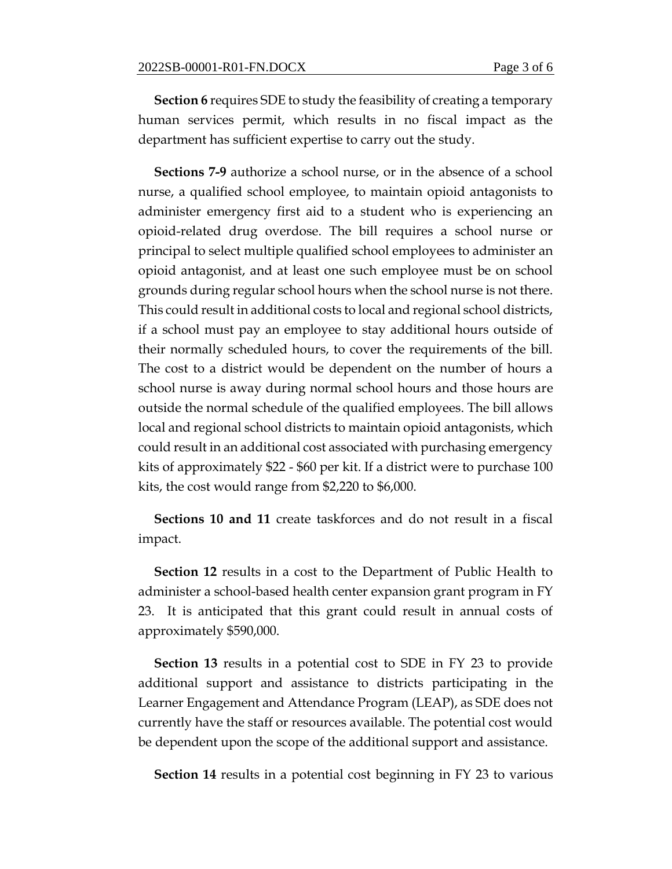**Section 6** requires SDE to study the feasibility of creating a temporary human services permit, which results in no fiscal impact as the department has sufficient expertise to carry out the study.

**Sections 7-9** authorize a school nurse, or in the absence of a school nurse, a qualified school employee, to maintain opioid antagonists to administer emergency first aid to a student who is experiencing an opioid-related drug overdose. The bill requires a school nurse or principal to select multiple qualified school employees to administer an opioid antagonist, and at least one such employee must be on school grounds during regular school hours when the school nurse is not there. This could result in additional costs to local and regional school districts, if a school must pay an employee to stay additional hours outside of their normally scheduled hours, to cover the requirements of the bill. The cost to a district would be dependent on the number of hours a school nurse is away during normal school hours and those hours are outside the normal schedule of the qualified employees. The bill allows local and regional school districts to maintain opioid antagonists, which could result in an additional cost associated with purchasing emergency kits of approximately \$22 - \$60 per kit. If a district were to purchase 100 kits, the cost would range from \$2,220 to \$6,000.

**Sections 10 and 11** create taskforces and do not result in a fiscal impact.

**Section 12** results in a cost to the Department of Public Health to administer a school-based health center expansion grant program in FY 23. It is anticipated that this grant could result in annual costs of approximately \$590,000.

**Section 13** results in a potential cost to SDE in FY 23 to provide additional support and assistance to districts participating in the Learner Engagement and Attendance Program (LEAP), as SDE does not currently have the staff or resources available. The potential cost would be dependent upon the scope of the additional support and assistance.

**Section 14** results in a potential cost beginning in FY 23 to various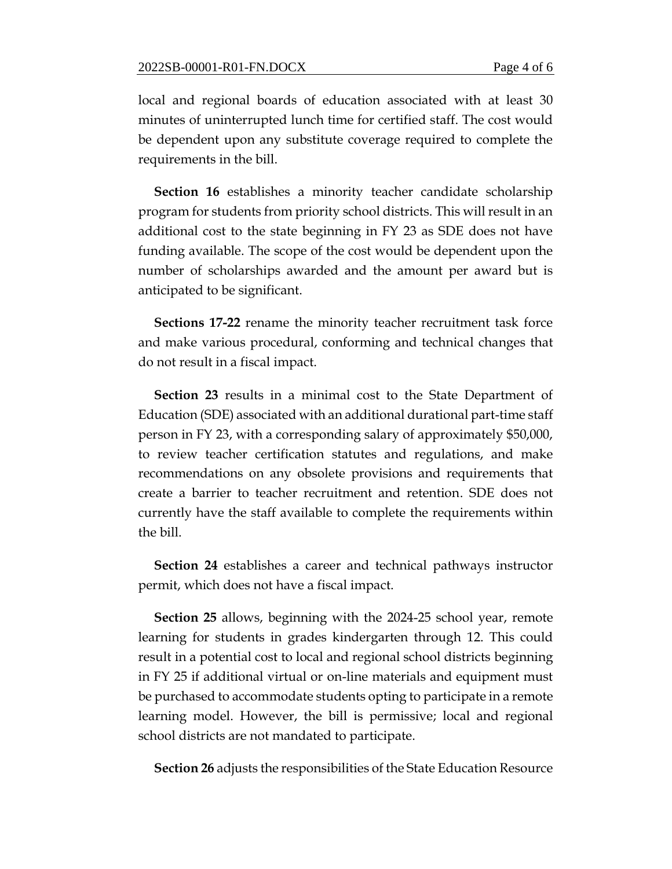local and regional boards of education associated with at least 30 minutes of uninterrupted lunch time for certified staff. The cost would be dependent upon any substitute coverage required to complete the requirements in the bill.

**Section 16** establishes a minority teacher candidate scholarship program for students from priority school districts. This will result in an additional cost to the state beginning in FY 23 as SDE does not have funding available. The scope of the cost would be dependent upon the number of scholarships awarded and the amount per award but is anticipated to be significant.

**Sections 17-22** rename the minority teacher recruitment task force and make various procedural, conforming and technical changes that do not result in a fiscal impact.

**Section 23** results in a minimal cost to the State Department of Education (SDE) associated with an additional durational part-time staff person in FY 23, with a corresponding salary of approximately \$50,000, to review teacher certification statutes and regulations, and make recommendations on any obsolete provisions and requirements that create a barrier to teacher recruitment and retention. SDE does not currently have the staff available to complete the requirements within the bill.

**Section 24** establishes a career and technical pathways instructor permit, which does not have a fiscal impact.

**Section 25** allows, beginning with the 2024-25 school year, remote learning for students in grades kindergarten through 12. This could result in a potential cost to local and regional school districts beginning in FY 25 if additional virtual or on-line materials and equipment must be purchased to accommodate students opting to participate in a remote learning model. However, the bill is permissive; local and regional school districts are not mandated to participate.

**Section 26** adjusts the responsibilities of the State Education Resource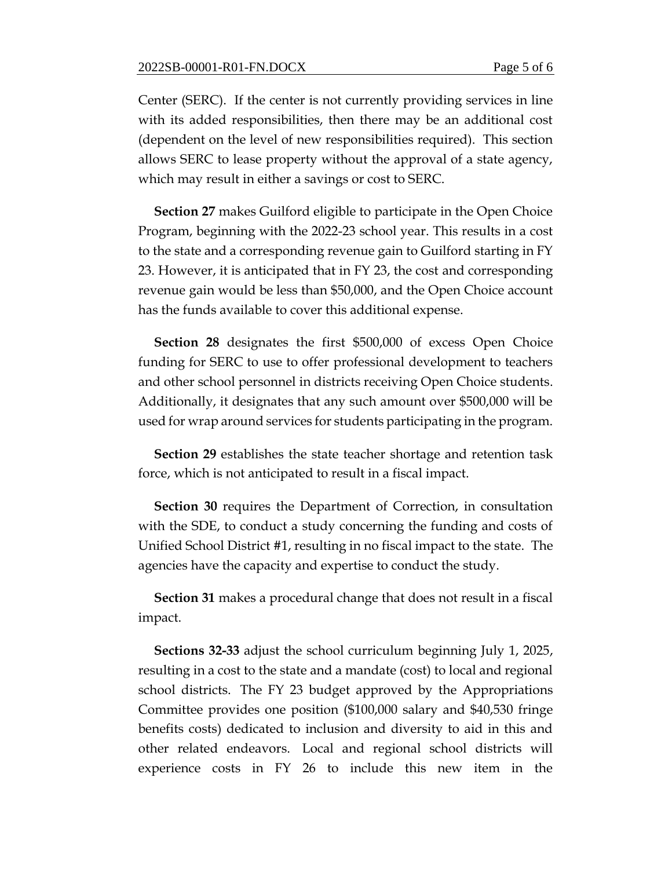Center (SERC). If the center is not currently providing services in line with its added responsibilities, then there may be an additional cost (dependent on the level of new responsibilities required). This section allows SERC to lease property without the approval of a state agency, which may result in either a savings or cost to SERC.

**Section 27** makes Guilford eligible to participate in the Open Choice Program, beginning with the 2022-23 school year. This results in a cost to the state and a corresponding revenue gain to Guilford starting in FY 23. However, it is anticipated that in FY 23, the cost and corresponding revenue gain would be less than \$50,000, and the Open Choice account has the funds available to cover this additional expense.

**Section 28** designates the first \$500,000 of excess Open Choice funding for SERC to use to offer professional development to teachers and other school personnel in districts receiving Open Choice students. Additionally, it designates that any such amount over \$500,000 will be used for wrap around services for students participating in the program.

**Section 29** establishes the state teacher shortage and retention task force, which is not anticipated to result in a fiscal impact.

**Section 30** requires the Department of Correction, in consultation with the SDE, to conduct a study concerning the funding and costs of Unified School District #1, resulting in no fiscal impact to the state. The agencies have the capacity and expertise to conduct the study.

**Section 31** makes a procedural change that does not result in a fiscal impact.

**Sections 32-33** adjust the school curriculum beginning July 1, 2025, resulting in a cost to the state and a mandate (cost) to local and regional school districts. The FY 23 budget approved by the Appropriations Committee provides one position (\$100,000 salary and \$40,530 fringe benefits costs) dedicated to inclusion and diversity to aid in this and other related endeavors. Local and regional school districts will experience costs in FY 26 to include this new item in the